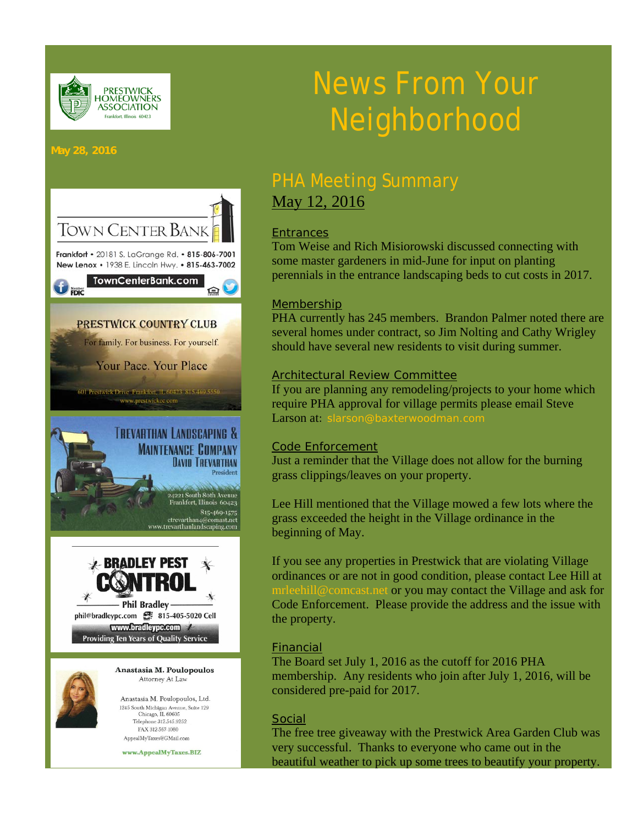

# News From Your Neighborhood

#### **May 28, 2016**



Chicago, IL 60605 Telephone 312.545.9252 FAX 312-567-1080 AppealMyTaxes@GMail.com

www.AppealMyTaxes.BIZ

# PHA Meeting Summary May 12, 2016

## **Entrances**

Tom Weise and Rich Misiorowski discussed connecting with some master gardeners in mid-June for input on planting perennials in the entrance landscaping beds to cut costs in 2017.

### Membership

PHA currently has 245 members. Brandon Palmer noted there are several homes under contract, so Jim Nolting and Cathy Wrigley should have several new residents to visit during summer.

#### Architectural Review Committee

If you are planning any remodeling/projects to your home which require PHA approval for village permits please email Steve Larson at: slarson@baxterwoodman.com

### Code Enforcement

Just a reminder that the Village does not allow for the burning grass clippings/leaves on your property.

Lee Hill mentioned that the Village mowed a few lots where the grass exceeded the height in the Village ordinance in the beginning of May.

If you see any properties in Prestwick that are violating Village ordinances or are not in good condition, please contact Lee Hill at mrleehill@comcast.net or you may contact the Village and ask for Code Enforcement. Please provide the address and the issue with the property.

#### Financial

The Board set July 1, 2016 as the cutoff for 2016 PHA membership. Any residents who join after July 1, 2016, will be considered pre-paid for 2017.

### Social

The free tree giveaway with the Prestwick Area Garden Club was very successful. Thanks to everyone who came out in the beautiful weather to pick up some trees to beautify your property.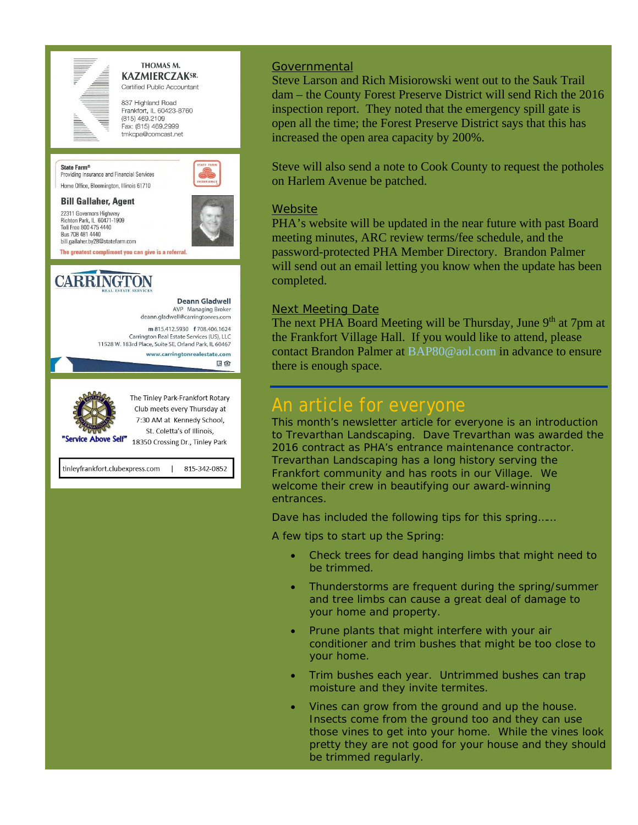

State Farm<sup>®</sup>

#### THOMAS M. **KAZMIERCZAKSR.** Certified Public Accountant

837 Highland Road Frankfort, IL 60423-8760  $(815)$  469.2109 Fax: (815) 469,2999 tmkcpa@comcast.net



#### **Bill Gallaher, Agent**

22311 Governors Highway Richton Park, IL 60471-1909 Toll Free 800 475 4440 Bus 708 481 4440 bill.gallaher.bv28@statefarm.com The greatest compliment you can give is a referral.

Providing Insurance and Financial Services Home Office, Bloomington, Illinois 61710







Club meets every Thursday at 7:30 AM at Kennedy School, St. Coletta's of Illinois,

18350 Crossing Dr., Tinley Park

tinleyfrankfort.clubexpress.com 815-342-0852

#### **Governmental**

Steve Larson and Rich Misiorowski went out to the Sauk Trail dam – the County Forest Preserve District will send Rich the 2016 inspection report. They noted that the emergency spill gate is open all the time; the Forest Preserve District says that this has increased the open area capacity by 200%.

Steve will also send a note to Cook County to request the potholes on Harlem Avenue be patched.

#### **Website**

PHA's website will be updated in the near future with past Board meeting minutes, ARC review terms/fee schedule, and the password-protected PHA Member Directory. Brandon Palmer will send out an email letting you know when the update has been completed.

#### Next Meeting Date

The next PHA Board Meeting will be Thursday, June 9<sup>th</sup> at 7pm at the Frankfort Village Hall. If you would like to attend, please contact Brandon Palmer at BAP80@aol.com in advance to ensure there is enough space.

## An article for everyone

This month's newsletter article for everyone is an introduction to Trevarthan Landscaping. Dave Trevarthan was awarded the 2016 contract as PHA's entrance maintenance contractor. Trevarthan Landscaping has a long history serving the Frankfort community and has roots in our Village. We welcome their crew in beautifying our award-winning entrances.

Dave has included the following tips for this spring……

*A few tips to start up the Spring:* 

- *Check trees for dead hanging limbs that might need to be trimmed.*
- *Thunderstorms are frequent during the spring/summer and tree limbs can cause a great deal of damage to your home and property.*
- *Prune plants that might interfere with your air conditioner and trim bushes that might be too close to your home.*
- *Trim bushes each year. Untrimmed bushes can trap moisture and they invite termites.*
- *Vines can grow from the ground and up the house. Insects come from the ground too and they can use those vines to get into your home. While the vines look pretty they are not good for your house and they should be trimmed regularly.*